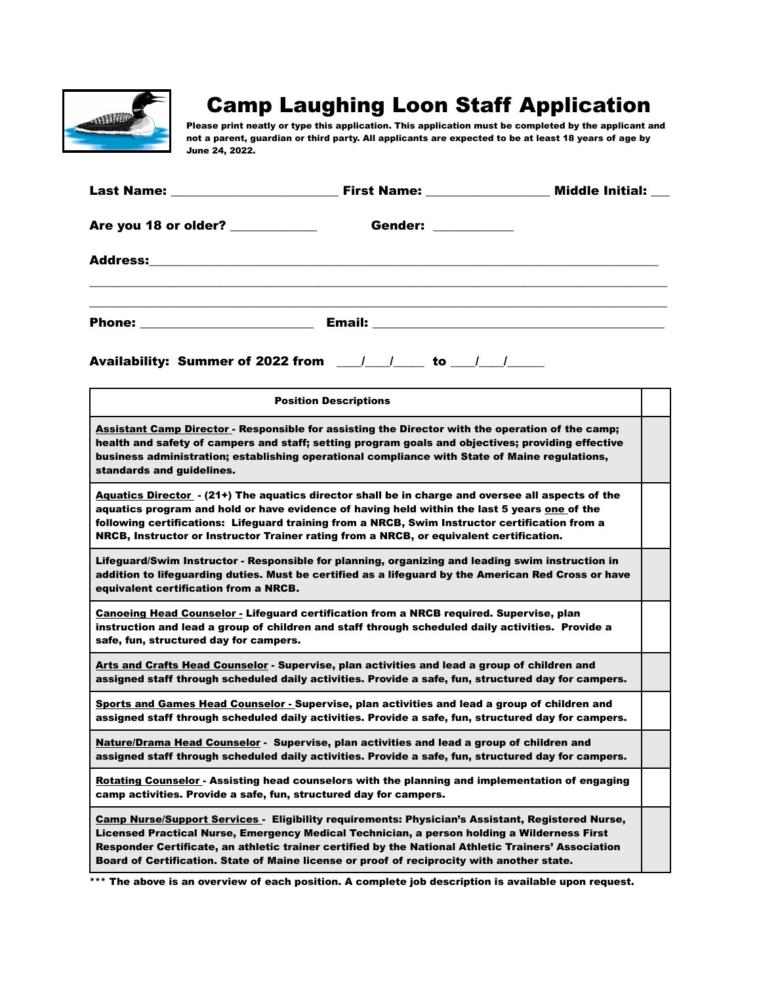

## Camp Laughing Loon Staff Application

Please print neatly or type this application. This application must be completed by the applicant and not a parent, guardian or third party. All applicants are expected to be at least 18 years of age by June 24, 2022.

|                                                                                                                                                                                                                                                                                                                                                                                                             |                                                                                                                                                                                                                                                                                                                                                                                                | <b>Middle Initial:</b> |  |  |  |  |
|-------------------------------------------------------------------------------------------------------------------------------------------------------------------------------------------------------------------------------------------------------------------------------------------------------------------------------------------------------------------------------------------------------------|------------------------------------------------------------------------------------------------------------------------------------------------------------------------------------------------------------------------------------------------------------------------------------------------------------------------------------------------------------------------------------------------|------------------------|--|--|--|--|
|                                                                                                                                                                                                                                                                                                                                                                                                             | Are you 18 or older? __________<br>Gender: ______                                                                                                                                                                                                                                                                                                                                              |                        |  |  |  |  |
| <b>Address:</b> Andreas Address and Address and Address and Address and Address and Address and Address and Address and Address and Address and Address and Address and Address and Address and Address and Address and Address and                                                                                                                                                                         |                                                                                                                                                                                                                                                                                                                                                                                                |                        |  |  |  |  |
|                                                                                                                                                                                                                                                                                                                                                                                                             |                                                                                                                                                                                                                                                                                                                                                                                                |                        |  |  |  |  |
| Availability: Summer of 2022 from $\frac{1}{1-\frac{1}{1-\frac{1}{1-\frac{1}{1-\frac{1}{1-\frac{1}{1-\frac{1}{1-\frac{1}{1-\frac{1}{1-\frac{1}{1-\frac{1}{1-\frac{1}{1-\frac{1}{1-\frac{1}{1-\frac{1}{1-\frac{1}{1-\frac{1}{1-\frac{1}{1-\frac{1}{1-\frac{1}{1-\frac{1}{1-\frac{1}{1-\frac{1}{1-\frac{1}{1-\frac{1}{1-\frac{1}{1-\frac{1}{1-\frac{1}{1-\frac{1}{1-\frac{1}{1-\frac{1}{1$                    |                                                                                                                                                                                                                                                                                                                                                                                                |                        |  |  |  |  |
|                                                                                                                                                                                                                                                                                                                                                                                                             | <b>Position Descriptions</b>                                                                                                                                                                                                                                                                                                                                                                   |                        |  |  |  |  |
| standards and guidelines.                                                                                                                                                                                                                                                                                                                                                                                   | Assistant Camp Director - Responsible for assisting the Director with the operation of the camp;<br>health and safety of campers and staff; setting program goals and objectives; providing effective<br>business administration; establishing operational compliance with State of Maine regulations,                                                                                         |                        |  |  |  |  |
|                                                                                                                                                                                                                                                                                                                                                                                                             | Aquatics Director - (21+) The aquatics director shall be in charge and oversee all aspects of the<br>aquatics program and hold or have evidence of having held within the last 5 years one of the<br>following certifications: Lifeguard training from a NRCB, Swim Instructor certification from a<br>NRCB, Instructor or Instructor Trainer rating from a NRCB, or equivalent certification. |                        |  |  |  |  |
| equivalent certification from a NRCB.                                                                                                                                                                                                                                                                                                                                                                       | Lifeguard/Swim Instructor - Responsible for planning, organizing and leading swim instruction in<br>addition to lifeguarding duties. Must be certified as a lifeguard by the American Red Cross or have                                                                                                                                                                                        |                        |  |  |  |  |
| <b>Canoeing Head Counselor - Lifeguard certification from a NRCB required. Supervise, plan</b><br>instruction and lead a group of children and staff through scheduled daily activities. Provide a<br>safe, fun, structured day for campers.                                                                                                                                                                |                                                                                                                                                                                                                                                                                                                                                                                                |                        |  |  |  |  |
| Arts and Crafts Head Counselor - Supervise, plan activities and lead a group of children and<br>assigned staff through scheduled daily activities. Provide a safe, fun, structured day for campers.                                                                                                                                                                                                         |                                                                                                                                                                                                                                                                                                                                                                                                |                        |  |  |  |  |
| Sports and Games Head Counselor - Supervise, plan activities and lead a group of children and<br>assigned staff through scheduled daily activities. Provide a safe, fun, structured day for campers.                                                                                                                                                                                                        |                                                                                                                                                                                                                                                                                                                                                                                                |                        |  |  |  |  |
| Nature/Drama Head Counselor - Supervise, plan activities and lead a group of children and<br>assigned staff through scheduled daily activities. Provide a safe, fun, structured day for campers.                                                                                                                                                                                                            |                                                                                                                                                                                                                                                                                                                                                                                                |                        |  |  |  |  |
| Rotating Counselor - Assisting head counselors with the planning and implementation of engaging<br>camp activities. Provide a safe, fun, structured day for campers.                                                                                                                                                                                                                                        |                                                                                                                                                                                                                                                                                                                                                                                                |                        |  |  |  |  |
| <b>Camp Nurse/Support Services - Eligibility requirements: Physician's Assistant, Registered Nurse,</b><br>Licensed Practical Nurse, Emergency Medical Technician, a person holding a Wilderness First<br>Responder Certificate, an athletic trainer certified by the National Athletic Trainers' Association<br>Board of Certification. State of Maine license or proof of reciprocity with another state. |                                                                                                                                                                                                                                                                                                                                                                                                |                        |  |  |  |  |

\*\*\* The above is an overview of each position. A complete job description is available upon request.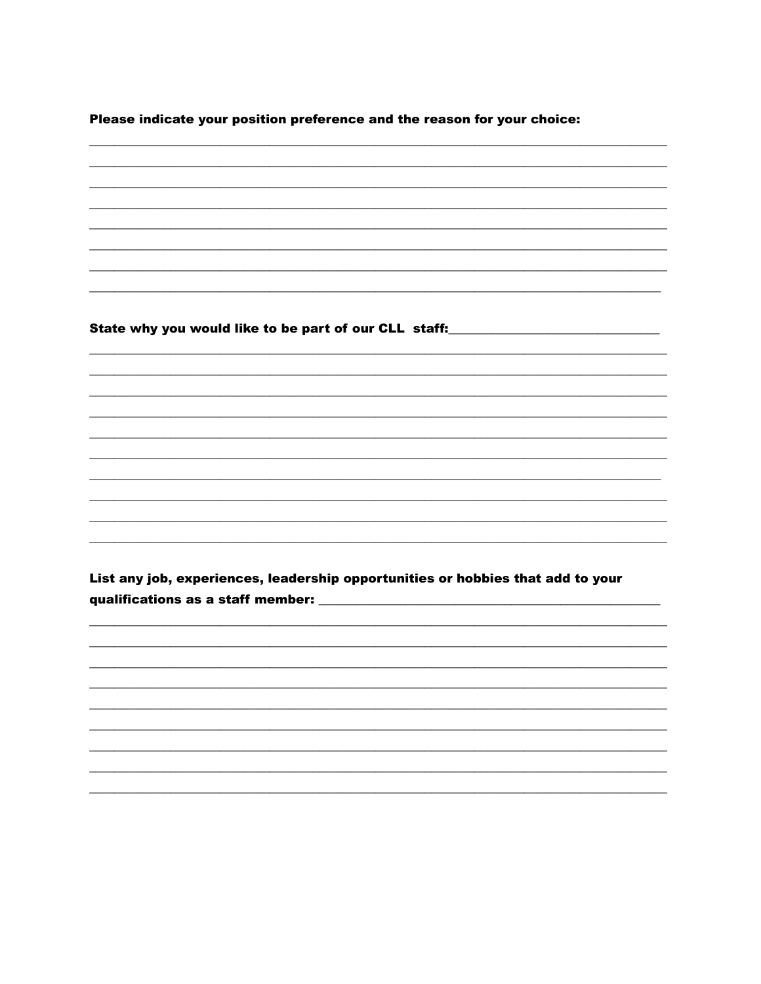Please indicate your position preference and the reason for your choice:

State why you would like to be part of our CLL staff:

List any job, experiences, leadership opportunities or hobbies that add to your qualifications as a staff member: \_\_\_\_\_\_\_